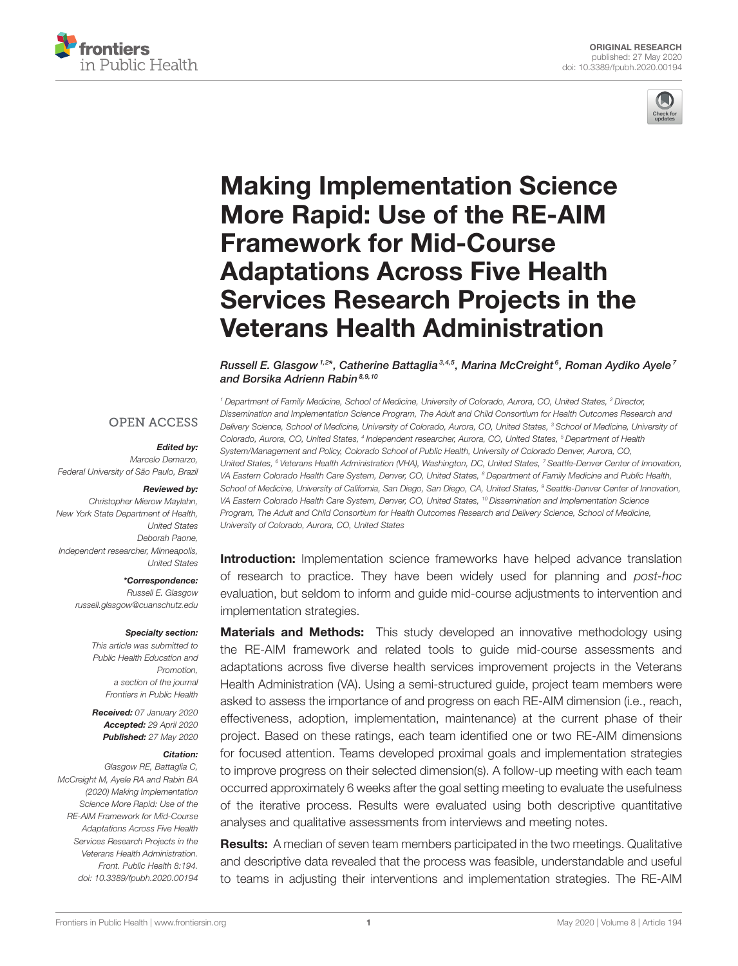



# Making Implementation Science More Rapid: Use of the RE-AIM Framework for Mid-Course Adaptations Across Five Health [Services Research Projects in the](https://www.frontiersin.org/articles/10.3389/fpubh.2020.00194/full) Veterans Health Administration

[Russell E. Glasgow](http://loop.frontiersin.org/people/545455/overview) <sup>1,2</sup>\*, Catherine Battaglia<sup>3,4,5</sup>, Marina McCreight<sup>6</sup>, [Roman Aydiko Ayele](http://loop.frontiersin.org/people/542855/overview)<sup>7</sup> and [Borsika Adrienn Rabin](http://loop.frontiersin.org/people/482534/overview)<sup>8,9,10</sup>

**OPEN ACCESS** 

#### Edited by:

Marcelo Demarzo, Federal University of São Paulo, Brazil

#### Reviewed by:

Christopher Mierow Maylahn, New York State Department of Health, United States Deborah Paone, Independent researcher, Minneapolis, United States

> \*Correspondence: Russell E. Glasgow [russell.glasgow@cuanschutz.edu](mailto:russell.glasgow@cuanschutz.edu)

#### Specialty section:

This article was submitted to Public Health Education and Promotion, a section of the journal Frontiers in Public Health

Received: 07 January 2020 Accepted: 29 April 2020 Published: 27 May 2020

#### Citation:

Glasgow RE, Battaglia C, McCreight M, Ayele RA and Rabin BA (2020) Making Implementation Science More Rapid: Use of the RE-AIM Framework for Mid-Course Adaptations Across Five Health Services Research Projects in the Veterans Health Administration. Front. Public Health 8:194. doi: [10.3389/fpubh.2020.00194](https://doi.org/10.3389/fpubh.2020.00194)

<sup>1</sup> Department of Family Medicine, School of Medicine, University of Colorado, Aurora, CO, United States, <sup>2</sup> Director, Dissemination and Implementation Science Program, The Adult and Child Consortium for Health Outcomes Research and Delivery Science, School of Medicine, University of Colorado, Aurora, CO, United States, <sup>3</sup> School of Medicine, University of Colorado, Aurora, CO, United States, <sup>4</sup> Independent researcher, Aurora, CO, United States, <sup>5</sup> Department of Health System/Management and Policy, Colorado School of Public Health, University of Colorado Denver, Aurora, CO, United States, <sup>6</sup> Veterans Health Administration (VHA), Washington, DC, United States, <sup>7</sup> Seattle-Denver Center of Innovation, VA Eastern Colorado Health Care System, Denver, CO, United States, <sup>8</sup> Department of Family Medicine and Public Health, School of Medicine, University of California, San Diego, San Diego, CA, United States, <sup>9</sup> Seattle-Denver Center of Innovation, VA Eastern Colorado Health Care System, Denver, CO, United States, <sup>10</sup> Dissemination and Implementation Science Program, The Adult and Child Consortium for Health Outcomes Research and Delivery Science, School of Medicine, University of Colorado, Aurora, CO, United States

**Introduction:** Implementation science frameworks have helped advance translation of research to practice. They have been widely used for planning and post-hoc evaluation, but seldom to inform and guide mid-course adjustments to intervention and implementation strategies.

**Materials and Methods:** This study developed an innovative methodology using the RE-AIM framework and related tools to guide mid-course assessments and adaptations across five diverse health services improvement projects in the Veterans Health Administration (VA). Using a semi-structured guide, project team members were asked to assess the importance of and progress on each RE-AIM dimension (i.e., reach, effectiveness, adoption, implementation, maintenance) at the current phase of their project. Based on these ratings, each team identified one or two RE-AIM dimensions for focused attention. Teams developed proximal goals and implementation strategies to improve progress on their selected dimension(s). A follow-up meeting with each team occurred approximately 6 weeks after the goal setting meeting to evaluate the usefulness of the iterative process. Results were evaluated using both descriptive quantitative analyses and qualitative assessments from interviews and meeting notes.

**Results:** A median of seven team members participated in the two meetings. Qualitative and descriptive data revealed that the process was feasible, understandable and useful to teams in adjusting their interventions and implementation strategies. The RE-AIM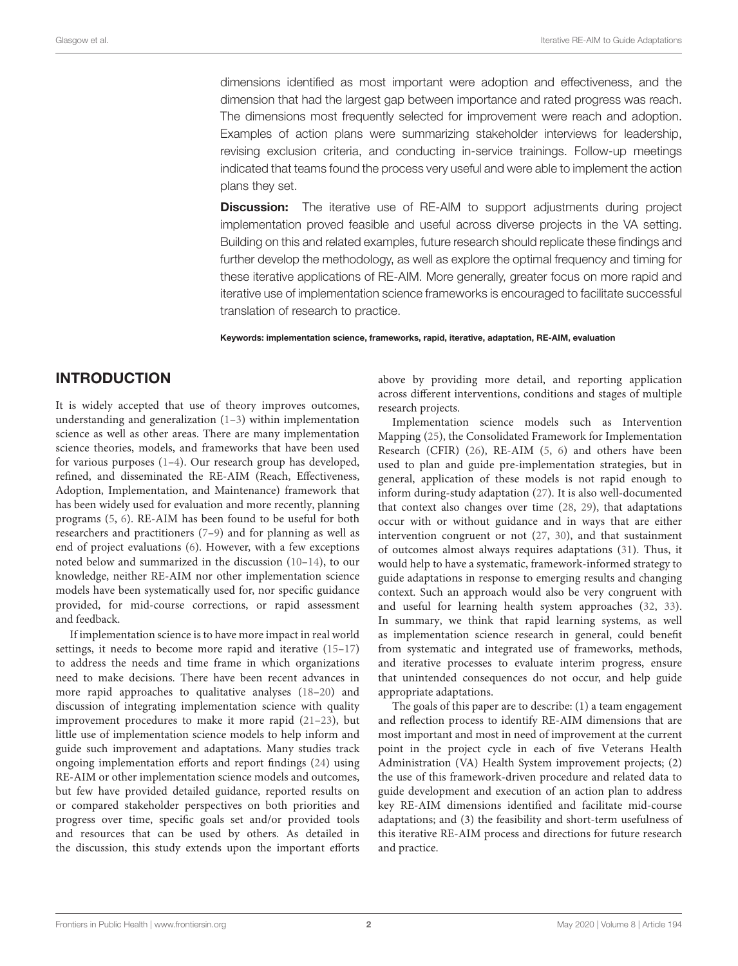dimensions identified as most important were adoption and effectiveness, and the dimension that had the largest gap between importance and rated progress was reach. The dimensions most frequently selected for improvement were reach and adoption. Examples of action plans were summarizing stakeholder interviews for leadership, revising exclusion criteria, and conducting in-service trainings. Follow-up meetings indicated that teams found the process very useful and were able to implement the action plans they set.

**Discussion:** The iterative use of RE-AIM to support adjustments during project implementation proved feasible and useful across diverse projects in the VA setting. Building on this and related examples, future research should replicate these findings and further develop the methodology, as well as explore the optimal frequency and timing for these iterative applications of RE-AIM. More generally, greater focus on more rapid and iterative use of implementation science frameworks is encouraged to facilitate successful translation of research to practice.

Keywords: implementation science, frameworks, rapid, iterative, adaptation, RE-AIM, evaluation

### INTRODUCTION

It is widely accepted that use of theory improves outcomes, understanding and generalization [\(1](#page-11-0)[–3\)](#page-11-1) within implementation science as well as other areas. There are many implementation science theories, models, and frameworks that have been used for various purposes [\(1–](#page-11-0)[4\)](#page-11-2). Our research group has developed, refined, and disseminated the RE-AIM (Reach, Effectiveness, Adoption, Implementation, and Maintenance) framework that has been widely used for evaluation and more recently, planning programs [\(5,](#page-11-3) [6\)](#page-11-4). RE-AIM has been found to be useful for both researchers and practitioners [\(7–](#page-11-5)[9\)](#page-11-6) and for planning as well as end of project evaluations [\(6\)](#page-11-4). However, with a few exceptions noted below and summarized in the discussion [\(10–](#page-11-7)[14\)](#page-11-8), to our knowledge, neither RE-AIM nor other implementation science models have been systematically used for, nor specific guidance provided, for mid-course corrections, or rapid assessment and feedback.

If implementation science is to have more impact in real world settings, it needs to become more rapid and iterative [\(15–](#page-11-9)[17\)](#page-11-10) to address the needs and time frame in which organizations need to make decisions. There have been recent advances in more rapid approaches to qualitative analyses [\(18–](#page-11-11)[20\)](#page-11-12) and discussion of integrating implementation science with quality improvement procedures to make it more rapid [\(21–](#page-11-13)[23\)](#page-11-14), but little use of implementation science models to help inform and guide such improvement and adaptations. Many studies track ongoing implementation efforts and report findings [\(24\)](#page-11-15) using RE-AIM or other implementation science models and outcomes, but few have provided detailed guidance, reported results on or compared stakeholder perspectives on both priorities and progress over time, specific goals set and/or provided tools and resources that can be used by others. As detailed in the discussion, this study extends upon the important efforts

above by providing more detail, and reporting application across different interventions, conditions and stages of multiple research projects.

Implementation science models such as Intervention Mapping [\(25\)](#page-11-16), the Consolidated Framework for Implementation Research (CFIR) [\(26\)](#page-11-17), RE-AIM [\(5,](#page-11-3) [6\)](#page-11-4) and others have been used to plan and guide pre-implementation strategies, but in general, application of these models is not rapid enough to inform during-study adaptation [\(27\)](#page-11-18). It is also well-documented that context also changes over time [\(28,](#page-11-19) [29\)](#page-11-20), that adaptations occur with or without guidance and in ways that are either intervention congruent or not [\(27,](#page-11-18) [30\)](#page-11-21), and that sustainment of outcomes almost always requires adaptations [\(31\)](#page-11-22). Thus, it would help to have a systematic, framework-informed strategy to guide adaptations in response to emerging results and changing context. Such an approach would also be very congruent with and useful for learning health system approaches [\(32,](#page-11-23) [33\)](#page-11-24). In summary, we think that rapid learning systems, as well as implementation science research in general, could benefit from systematic and integrated use of frameworks, methods, and iterative processes to evaluate interim progress, ensure that unintended consequences do not occur, and help guide appropriate adaptations.

The goals of this paper are to describe: (1) a team engagement and reflection process to identify RE-AIM dimensions that are most important and most in need of improvement at the current point in the project cycle in each of five Veterans Health Administration (VA) Health System improvement projects; (2) the use of this framework-driven procedure and related data to guide development and execution of an action plan to address key RE-AIM dimensions identified and facilitate mid-course adaptations; and (3) the feasibility and short-term usefulness of this iterative RE-AIM process and directions for future research and practice.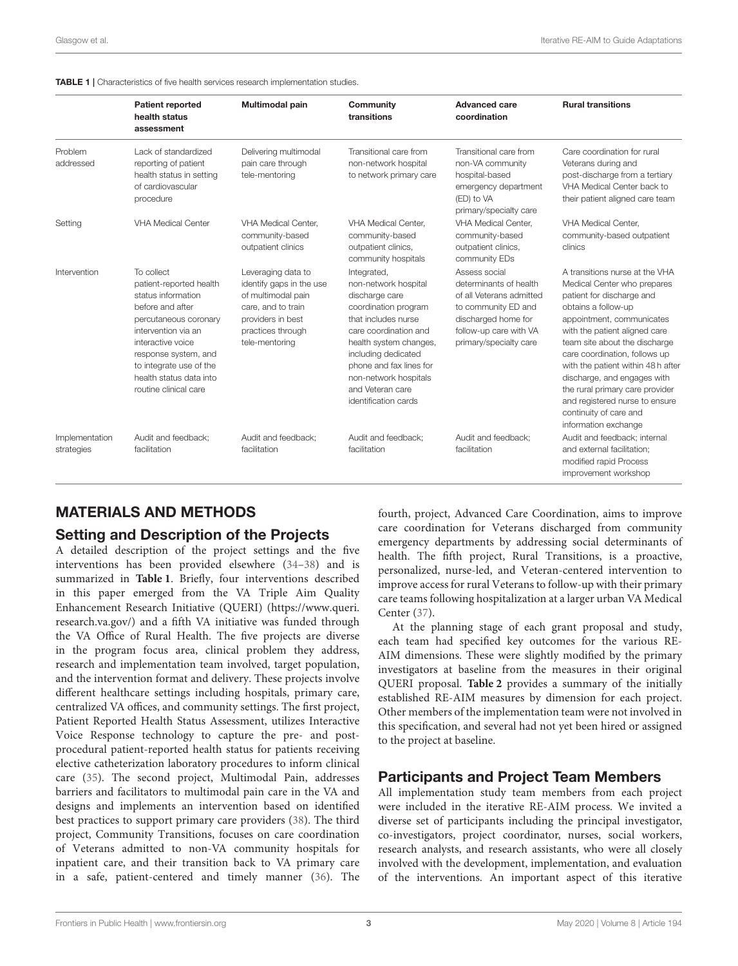<span id="page-2-0"></span>

|                              | <b>Patient reported</b><br>health status<br>assessment                                                                                                                                                                                                      | Multimodal pain                                                                                                                                        | Community<br>transitions                                                                                                                                                                                                                                                       | <b>Advanced care</b><br>coordination                                                                                                                                  | <b>Rural transitions</b>                                                                                                                                                                                                                                                                                                                                                                                                                     |
|------------------------------|-------------------------------------------------------------------------------------------------------------------------------------------------------------------------------------------------------------------------------------------------------------|--------------------------------------------------------------------------------------------------------------------------------------------------------|--------------------------------------------------------------------------------------------------------------------------------------------------------------------------------------------------------------------------------------------------------------------------------|-----------------------------------------------------------------------------------------------------------------------------------------------------------------------|----------------------------------------------------------------------------------------------------------------------------------------------------------------------------------------------------------------------------------------------------------------------------------------------------------------------------------------------------------------------------------------------------------------------------------------------|
| Problem<br>addressed         | Lack of standardized<br>reporting of patient<br>health status in setting<br>of cardiovascular<br>procedure                                                                                                                                                  | Delivering multimodal<br>pain care through<br>tele-mentoring                                                                                           | Transitional care from<br>non-network hospital<br>to network primary care                                                                                                                                                                                                      | Transitional care from<br>non-VA community<br>hospital-based<br>emergency department<br>(ED) to VA<br>primary/specialty care                                          | Care coordination for rural<br>Veterans during and<br>post-discharge from a tertiary<br>VHA Medical Center back to<br>their patient aligned care team                                                                                                                                                                                                                                                                                        |
| Setting                      | <b>VHA Medical Center</b>                                                                                                                                                                                                                                   | <b>VHA Medical Center.</b><br>community-based<br>outpatient clinics                                                                                    | <b>VHA Medical Center.</b><br>community-based<br>outpatient clinics,<br>community hospitals                                                                                                                                                                                    | <b>VHA Medical Center.</b><br>community-based<br>outpatient clinics,<br>community EDs                                                                                 | <b>VHA Medical Center.</b><br>community-based outpatient<br>clinics                                                                                                                                                                                                                                                                                                                                                                          |
| Intervention                 | To collect<br>patient-reported health<br>status information<br>before and after<br>percutaneous coronary<br>intervention via an<br>interactive voice<br>response system, and<br>to integrate use of the<br>health status data into<br>routine clinical care | Leveraging data to<br>identify gaps in the use<br>of multimodal pain<br>care, and to train<br>providers in best<br>practices through<br>tele-mentoring | Integrated,<br>non-network hospital<br>discharge care<br>coordination program<br>that includes nurse<br>care coordination and<br>health system changes,<br>including dedicated<br>phone and fax lines for<br>non-network hospitals<br>and Veteran care<br>identification cards | Assess social<br>determinants of health<br>of all Veterans admitted<br>to community ED and<br>discharged home for<br>follow-up care with VA<br>primary/specialty care | A transitions nurse at the VHA<br>Medical Center who prepares<br>patient for discharge and<br>obtains a follow-up<br>appointment, communicates<br>with the patient aligned care<br>team site about the discharge<br>care coordination, follows up<br>with the patient within 48h after<br>discharge, and engages with<br>the rural primary care provider<br>and registered nurse to ensure<br>continuity of care and<br>information exchange |
| Implementation<br>strategies | Audit and feedback:<br>facilitation                                                                                                                                                                                                                         | Audit and feedback:<br>facilitation                                                                                                                    | Audit and feedback:<br>facilitation                                                                                                                                                                                                                                            | Audit and feedback:<br>facilitation                                                                                                                                   | Audit and feedback: internal<br>and external facilitation:<br>modified rapid Process<br>improvement workshop                                                                                                                                                                                                                                                                                                                                 |

#### MATERIALS AND METHODS

#### Setting and Description of the Projects

A detailed description of the project settings and the five interventions has been provided elsewhere [\(34](#page-11-25)[–38\)](#page-11-26) and is summarized in **[Table 1](#page-2-0)**. Briefly, four interventions described in this paper emerged from the VA Triple Aim Quality Enhancement Research Initiative (QUERI) [\(https://www.queri.](https://www.queri.research.va.gov/) [research.va.gov/\)](https://www.queri.research.va.gov/) and a fifth VA initiative was funded through the VA Office of Rural Health. The five projects are diverse in the program focus area, clinical problem they address, research and implementation team involved, target population, and the intervention format and delivery. These projects involve different healthcare settings including hospitals, primary care, centralized VA offices, and community settings. The first project, Patient Reported Health Status Assessment, utilizes Interactive Voice Response technology to capture the pre- and postprocedural patient-reported health status for patients receiving elective catheterization laboratory procedures to inform clinical care [\(35\)](#page-11-27). The second project, Multimodal Pain, addresses barriers and facilitators to multimodal pain care in the VA and designs and implements an intervention based on identified best practices to support primary care providers [\(38\)](#page-11-26). The third project, Community Transitions, focuses on care coordination of Veterans admitted to non-VA community hospitals for inpatient care, and their transition back to VA primary care in a safe, patient-centered and timely manner [\(36\)](#page-11-28). The

fourth, project, Advanced Care Coordination, aims to improve care coordination for Veterans discharged from community emergency departments by addressing social determinants of health. The fifth project, Rural Transitions, is a proactive, personalized, nurse-led, and Veteran-centered intervention to improve access for rural Veterans to follow-up with their primary care teams following hospitalization at a larger urban VA Medical Center [\(37\)](#page-11-29).

At the planning stage of each grant proposal and study, each team had specified key outcomes for the various RE-AIM dimensions. These were slightly modified by the primary investigators at baseline from the measures in their original QUERI proposal. **[Table 2](#page-3-0)** provides a summary of the initially established RE-AIM measures by dimension for each project. Other members of the implementation team were not involved in this specification, and several had not yet been hired or assigned to the project at baseline.

#### Participants and Project Team Members

All implementation study team members from each project were included in the iterative RE-AIM process. We invited a diverse set of participants including the principal investigator, co-investigators, project coordinator, nurses, social workers, research analysts, and research assistants, who were all closely involved with the development, implementation, and evaluation of the interventions. An important aspect of this iterative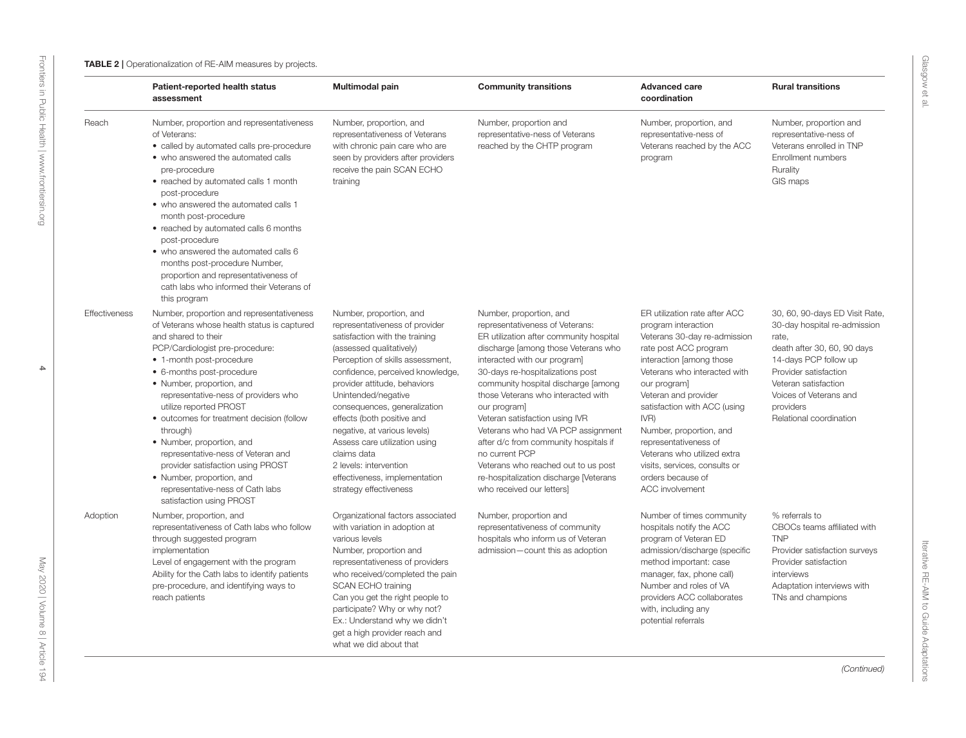<span id="page-3-0"></span>

|               | Patient-reported health status<br>assessment                                                                                                                                                                                                                                                                                                                                                                                                                                                                                                                             | <b>Multimodal pain</b>                                                                                                                                                                                                                                                                                                                                                                                                                                                                    | <b>Community transitions</b>                                                                                                                                                                                                                                                                                                                                                                                                                                                                                                                                   | <b>Advanced care</b><br>coordination                                                                                                                                                                                                                                                                                                                                                                                  | <b>Rural transitions</b>                                                                                                                                                                                                                           |
|---------------|--------------------------------------------------------------------------------------------------------------------------------------------------------------------------------------------------------------------------------------------------------------------------------------------------------------------------------------------------------------------------------------------------------------------------------------------------------------------------------------------------------------------------------------------------------------------------|-------------------------------------------------------------------------------------------------------------------------------------------------------------------------------------------------------------------------------------------------------------------------------------------------------------------------------------------------------------------------------------------------------------------------------------------------------------------------------------------|----------------------------------------------------------------------------------------------------------------------------------------------------------------------------------------------------------------------------------------------------------------------------------------------------------------------------------------------------------------------------------------------------------------------------------------------------------------------------------------------------------------------------------------------------------------|-----------------------------------------------------------------------------------------------------------------------------------------------------------------------------------------------------------------------------------------------------------------------------------------------------------------------------------------------------------------------------------------------------------------------|----------------------------------------------------------------------------------------------------------------------------------------------------------------------------------------------------------------------------------------------------|
| Reach         | Number, proportion and representativeness<br>of Veterans:<br>• called by automated calls pre-procedure<br>• who answered the automated calls<br>pre-procedure<br>• reached by automated calls 1 month<br>post-procedure<br>• who answered the automated calls 1<br>month post-procedure<br>• reached by automated calls 6 months<br>post-procedure<br>• who answered the automated calls 6<br>months post-procedure Number,<br>proportion and representativeness of<br>cath labs who informed their Veterans of<br>this program                                          | Number, proportion, and<br>representativeness of Veterans<br>with chronic pain care who are<br>seen by providers after providers<br>receive the pain SCAN ECHO<br>training                                                                                                                                                                                                                                                                                                                | Number, proportion and<br>representative-ness of Veterans<br>reached by the CHTP program                                                                                                                                                                                                                                                                                                                                                                                                                                                                       | Number, proportion, and<br>representative-ness of<br>Veterans reached by the ACC<br>program                                                                                                                                                                                                                                                                                                                           | Number, proportion and<br>representative-ness of<br>Veterans enrolled in TNP<br>Enrollment numbers<br>Rurality<br>GIS maps                                                                                                                         |
| Effectiveness | Number, proportion and representativeness<br>of Veterans whose health status is captured<br>and shared to their<br>PCP/Cardiologist pre-procedure:<br>• 1-month post-procedure<br>• 6-months post-procedure<br>• Number, proportion, and<br>representative-ness of providers who<br>utilize reported PROST<br>• outcomes for treatment decision (follow<br>through)<br>• Number, proportion, and<br>representative-ness of Veteran and<br>provider satisfaction using PROST<br>• Number, proportion, and<br>representative-ness of Cath labs<br>satisfaction using PROST | Number, proportion, and<br>representativeness of provider<br>satisfaction with the training<br>(assessed qualitatively)<br>Perception of skills assessment,<br>confidence, perceived knowledge,<br>provider attitude, behaviors<br>Unintended/negative<br>consequences, generalization<br>effects (both positive and<br>negative, at various levels)<br>Assess care utilization using<br>claims data<br>2 levels: intervention<br>effectiveness, implementation<br>strategy effectiveness | Number, proportion, and<br>representativeness of Veterans:<br>ER utilization after community hospital<br>discharge [among those Veterans who<br>interacted with our program]<br>30-days re-hospitalizations post<br>community hospital discharge [among<br>those Veterans who interacted with<br>our program]<br>Veteran satisfaction using IVR<br>Veterans who had VA PCP assignment<br>after d/c from community hospitals if<br>no current PCP<br>Veterans who reached out to us post<br>re-hospitalization discharge [Veterans<br>who received our letters] | ER utilization rate after ACC<br>program interaction<br>Veterans 30-day re-admission<br>rate post ACC program<br>interaction [among those<br>Veterans who interacted with<br>our program]<br>Veteran and provider<br>satisfaction with ACC (using<br>IVR)<br>Number, proportion, and<br>representativeness of<br>Veterans who utilized extra<br>visits, services, consults or<br>orders because of<br>ACC involvement | 30, 60, 90-days ED Visit Rate,<br>30-day hospital re-admission<br>rate,<br>death after 30, 60, 90 days<br>14-days PCP follow up<br>Provider satisfaction<br>Veteran satisfaction<br>Voices of Veterans and<br>providers<br>Relational coordination |
| Adoption      | Number, proportion, and<br>representativeness of Cath labs who follow<br>through suggested program<br>implementation<br>Level of engagement with the program<br>Ability for the Cath labs to identify patients<br>pre-procedure, and identifying ways to<br>reach patients                                                                                                                                                                                                                                                                                               | Organizational factors associated<br>with variation in adoption at<br>various levels<br>Number, proportion and<br>representativeness of providers<br>who received/completed the pain<br><b>SCAN ECHO training</b><br>Can you get the right people to<br>participate? Why or why not?<br>Ex.: Understand why we didn't<br>get a high provider reach and<br>what we did about that                                                                                                          | Number, proportion and<br>representativeness of community<br>hospitals who inform us of Veteran<br>admission-count this as adoption                                                                                                                                                                                                                                                                                                                                                                                                                            | Number of times community<br>hospitals notify the ACC<br>program of Veteran ED<br>admission/discharge (specific<br>method important: case<br>manager, fax, phone call)<br>Number and roles of VA<br>providers ACC collaborates<br>with, including any<br>potential referrals                                                                                                                                          | % referrals to<br>CBOCs teams affiliated with<br><b>TNP</b><br>Provider satisfaction surveys<br>Provider satisfaction<br>interviews<br>Adaptation interviews with<br>TNs and champions                                                             |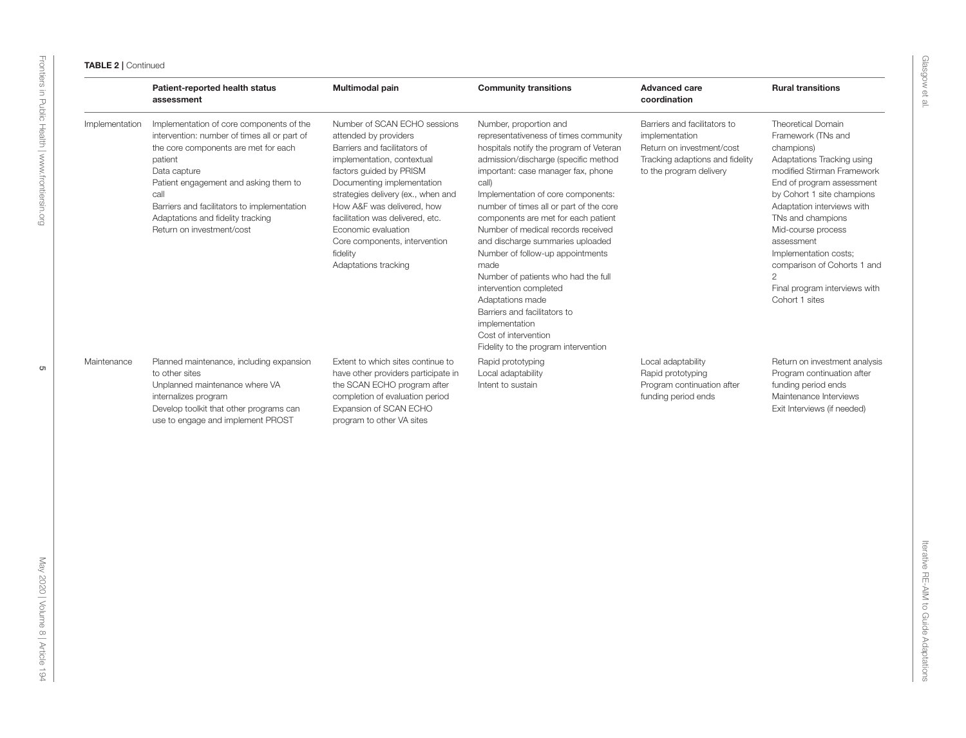| <b>ABLE 2   Continued</b> |
|---------------------------|

|                | Patient-reported health status<br>assessment                                                                                                                                                                                                                                                                                  | Multimodal pain                                                                                                                                                                                                                                                                                                                                                                  | <b>Community transitions</b>                                                                                                                                                                                                                                                                                                                                                                                                                                                                                                                                                                                                                           | <b>Advanced care</b><br>coordination                                                                                                      | <b>Rural transitions</b>                                                                                                                                                                                                                                                                                                                                                                        |
|----------------|-------------------------------------------------------------------------------------------------------------------------------------------------------------------------------------------------------------------------------------------------------------------------------------------------------------------------------|----------------------------------------------------------------------------------------------------------------------------------------------------------------------------------------------------------------------------------------------------------------------------------------------------------------------------------------------------------------------------------|--------------------------------------------------------------------------------------------------------------------------------------------------------------------------------------------------------------------------------------------------------------------------------------------------------------------------------------------------------------------------------------------------------------------------------------------------------------------------------------------------------------------------------------------------------------------------------------------------------------------------------------------------------|-------------------------------------------------------------------------------------------------------------------------------------------|-------------------------------------------------------------------------------------------------------------------------------------------------------------------------------------------------------------------------------------------------------------------------------------------------------------------------------------------------------------------------------------------------|
| Implementation | Implementation of core components of the<br>intervention: number of times all or part of<br>the core components are met for each<br>patient<br>Data capture<br>Patient engagement and asking them to<br>call<br>Barriers and facilitators to implementation<br>Adaptations and fidelity tracking<br>Return on investment/cost | Number of SCAN ECHO sessions<br>attended by providers<br>Barriers and facilitators of<br>implementation, contextual<br>factors guided by PRISM<br>Documenting implementation<br>strategies delivery (ex., when and<br>How A&F was delivered, how<br>facilitation was delivered, etc.<br>Economic evaluation<br>Core components, intervention<br>fidelity<br>Adaptations tracking | Number, proportion and<br>representativeness of times community<br>hospitals notify the program of Veteran<br>admission/discharge (specific method<br>important: case manager fax, phone<br>call)<br>Implementation of core components:<br>number of times all or part of the core<br>components are met for each patient<br>Number of medical records received<br>and discharge summaries uploaded<br>Number of follow-up appointments<br>made<br>Number of patients who had the full<br>intervention completed<br>Adaptations made<br>Barriers and facilitators to<br>implementation<br>Cost of intervention<br>Fidelity to the program intervention | Barriers and facilitators to<br>implementation<br>Return on investment/cost<br>Tracking adaptions and fidelity<br>to the program delivery | Theoretical Domain<br>Framework (TNs and<br>champions)<br>Adaptations Tracking using<br>modified Stirman Framework<br>End of program assessment<br>by Cohort 1 site champions<br>Adaptation interviews with<br>TNs and champions<br>Mid-course process<br>assessment<br>Implementation costs;<br>comparison of Cohorts 1 and<br>$\mathbf{2}$<br>Final program interviews with<br>Cohort 1 sites |
| Maintenance    | Planned maintenance, including expansion<br>to other sites<br>Unplanned maintenance where VA<br>internalizes program<br>Develop toolkit that other programs can<br>use to engage and implement PROST                                                                                                                          | Extent to which sites continue to<br>have other providers participate in<br>the SCAN ECHO program after<br>completion of evaluation period<br>Expansion of SCAN ECHO<br>program to other VA sites                                                                                                                                                                                | Rapid prototyping<br>Local adaptability<br>Intent to sustain                                                                                                                                                                                                                                                                                                                                                                                                                                                                                                                                                                                           | Local adaptability<br>Rapid prototyping<br>Program continuation after<br>funding period ends                                              | Return on investment analysis<br>Program continuation after<br>funding period ends<br>Maintenance Interviews<br>Exit Interviews (if needed)                                                                                                                                                                                                                                                     |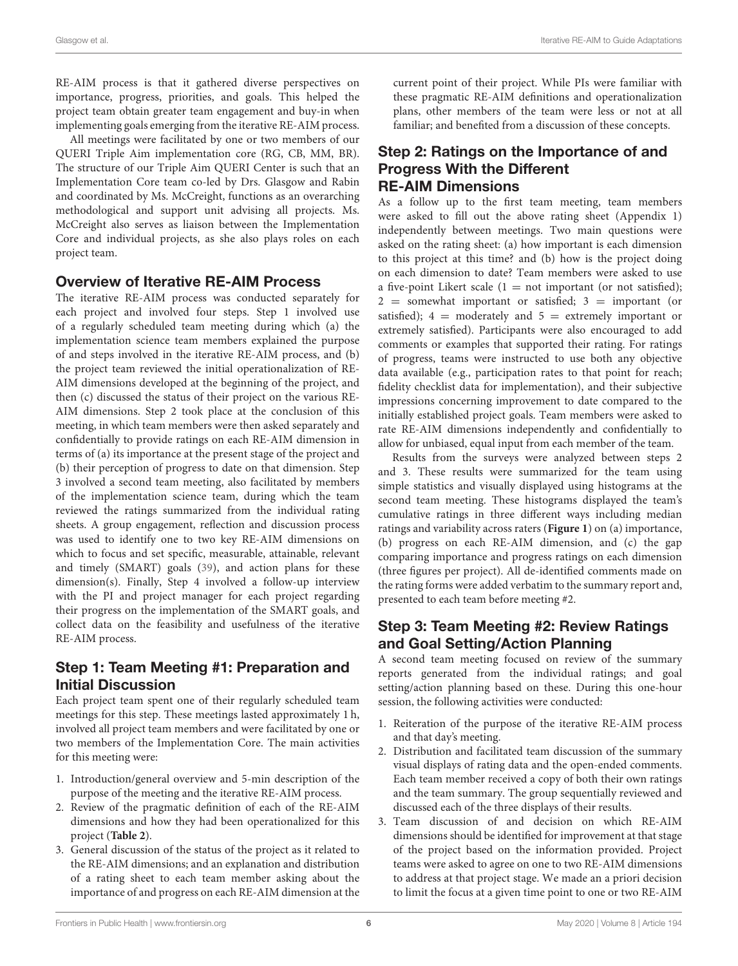RE-AIM process is that it gathered diverse perspectives on importance, progress, priorities, and goals. This helped the project team obtain greater team engagement and buy-in when implementing goals emerging from the iterative RE-AIM process.

All meetings were facilitated by one or two members of our QUERI Triple Aim implementation core (RG, CB, MM, BR). The structure of our Triple Aim QUERI Center is such that an Implementation Core team co-led by Drs. Glasgow and Rabin and coordinated by Ms. McCreight, functions as an overarching methodological and support unit advising all projects. Ms. McCreight also serves as liaison between the Implementation Core and individual projects, as she also plays roles on each project team.

### Overview of Iterative RE-AIM Process

The iterative RE-AIM process was conducted separately for each project and involved four steps. Step 1 involved use of a regularly scheduled team meeting during which (a) the implementation science team members explained the purpose of and steps involved in the iterative RE-AIM process, and (b) the project team reviewed the initial operationalization of RE-AIM dimensions developed at the beginning of the project, and then (c) discussed the status of their project on the various RE-AIM dimensions. Step 2 took place at the conclusion of this meeting, in which team members were then asked separately and confidentially to provide ratings on each RE-AIM dimension in terms of (a) its importance at the present stage of the project and (b) their perception of progress to date on that dimension. Step 3 involved a second team meeting, also facilitated by members of the implementation science team, during which the team reviewed the ratings summarized from the individual rating sheets. A group engagement, reflection and discussion process was used to identify one to two key RE-AIM dimensions on which to focus and set specific, measurable, attainable, relevant and timely (SMART) goals [\(39\)](#page-12-0), and action plans for these dimension(s). Finally, Step 4 involved a follow-up interview with the PI and project manager for each project regarding their progress on the implementation of the SMART goals, and collect data on the feasibility and usefulness of the iterative RE-AIM process.

# Step 1: Team Meeting #1: Preparation and Initial Discussion

Each project team spent one of their regularly scheduled team meetings for this step. These meetings lasted approximately 1 h, involved all project team members and were facilitated by one or two members of the Implementation Core. The main activities for this meeting were:

- 1. Introduction/general overview and 5-min description of the purpose of the meeting and the iterative RE-AIM process.
- 2. Review of the pragmatic definition of each of the RE-AIM dimensions and how they had been operationalized for this project (**[Table 2](#page-3-0)**).
- 3. General discussion of the status of the project as it related to the RE-AIM dimensions; and an explanation and distribution of a rating sheet to each team member asking about the importance of and progress on each RE-AIM dimension at the

current point of their project. While PIs were familiar with these pragmatic RE-AIM definitions and operationalization plans, other members of the team were less or not at all familiar; and benefited from a discussion of these concepts.

### Step 2: Ratings on the Importance of and Progress With the Different RE-AIM Dimensions

As a follow up to the first team meeting, team members were asked to fill out the above rating sheet (Appendix 1) independently between meetings. Two main questions were asked on the rating sheet: (a) how important is each dimension to this project at this time? and (b) how is the project doing on each dimension to date? Team members were asked to use a five-point Likert scale  $(1 = not important (or not satisfied));$  $2 =$  somewhat important or satisfied;  $3 =$  important (or satisfied);  $4 =$  moderately and  $5 =$  extremely important or extremely satisfied). Participants were also encouraged to add comments or examples that supported their rating. For ratings of progress, teams were instructed to use both any objective data available (e.g., participation rates to that point for reach; fidelity checklist data for implementation), and their subjective impressions concerning improvement to date compared to the initially established project goals. Team members were asked to rate RE-AIM dimensions independently and confidentially to allow for unbiased, equal input from each member of the team.

Results from the surveys were analyzed between steps 2 and 3. These results were summarized for the team using simple statistics and visually displayed using histograms at the second team meeting. These histograms displayed the team's cumulative ratings in three different ways including median ratings and variability across raters (**[Figure 1](#page-6-0)**) on (a) importance, (b) progress on each RE-AIM dimension, and (c) the gap comparing importance and progress ratings on each dimension (three figures per project). All de-identified comments made on the rating forms were added verbatim to the summary report and, presented to each team before meeting #2.

### Step 3: Team Meeting #2: Review Ratings and Goal Setting/Action Planning

A second team meeting focused on review of the summary reports generated from the individual ratings; and goal setting/action planning based on these. During this one-hour session, the following activities were conducted:

- 1. Reiteration of the purpose of the iterative RE-AIM process and that day's meeting.
- 2. Distribution and facilitated team discussion of the summary visual displays of rating data and the open-ended comments. Each team member received a copy of both their own ratings and the team summary. The group sequentially reviewed and discussed each of the three displays of their results.
- 3. Team discussion of and decision on which RE-AIM dimensions should be identified for improvement at that stage of the project based on the information provided. Project teams were asked to agree on one to two RE-AIM dimensions to address at that project stage. We made an a priori decision to limit the focus at a given time point to one or two RE-AIM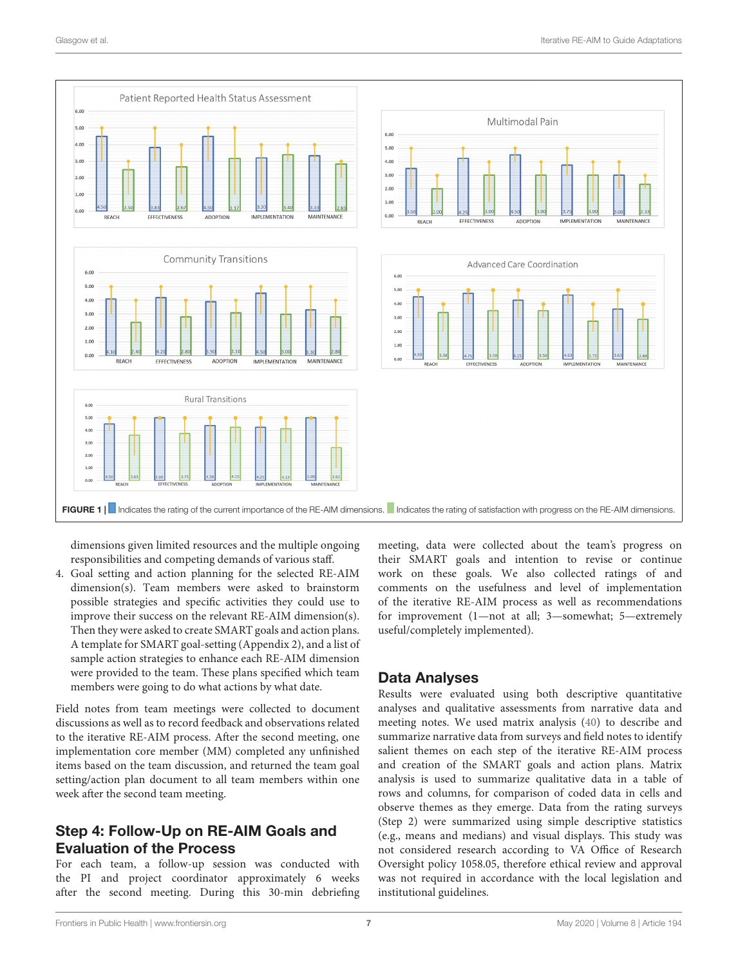

<span id="page-6-0"></span>dimensions given limited resources and the multiple ongoing responsibilities and competing demands of various staff.

4. Goal setting and action planning for the selected RE-AIM dimension(s). Team members were asked to brainstorm possible strategies and specific activities they could use to improve their success on the relevant RE-AIM dimension(s). Then they were asked to create SMART goals and action plans. A template for SMART goal-setting (Appendix 2), and a list of sample action strategies to enhance each RE-AIM dimension were provided to the team. These plans specified which team members were going to do what actions by what date.

Field notes from team meetings were collected to document discussions as well as to record feedback and observations related to the iterative RE-AIM process. After the second meeting, one implementation core member (MM) completed any unfinished items based on the team discussion, and returned the team goal setting/action plan document to all team members within one week after the second team meeting.

# Step 4: Follow-Up on RE-AIM Goals and Evaluation of the Process

For each team, a follow-up session was conducted with the PI and project coordinator approximately 6 weeks after the second meeting. During this 30-min debriefing meeting, data were collected about the team's progress on their SMART goals and intention to revise or continue work on these goals. We also collected ratings of and comments on the usefulness and level of implementation of the iterative RE-AIM process as well as recommendations for improvement (1—not at all; 3—somewhat; 5—extremely useful/completely implemented).

# Data Analyses

Results were evaluated using both descriptive quantitative analyses and qualitative assessments from narrative data and meeting notes. We used matrix analysis [\(40\)](#page-12-1) to describe and summarize narrative data from surveys and field notes to identify salient themes on each step of the iterative RE-AIM process and creation of the SMART goals and action plans. Matrix analysis is used to summarize qualitative data in a table of rows and columns, for comparison of coded data in cells and observe themes as they emerge. Data from the rating surveys (Step 2) were summarized using simple descriptive statistics (e.g., means and medians) and visual displays. This study was not considered research according to VA Office of Research Oversight policy 1058.05, therefore ethical review and approval was not required in accordance with the local legislation and institutional guidelines.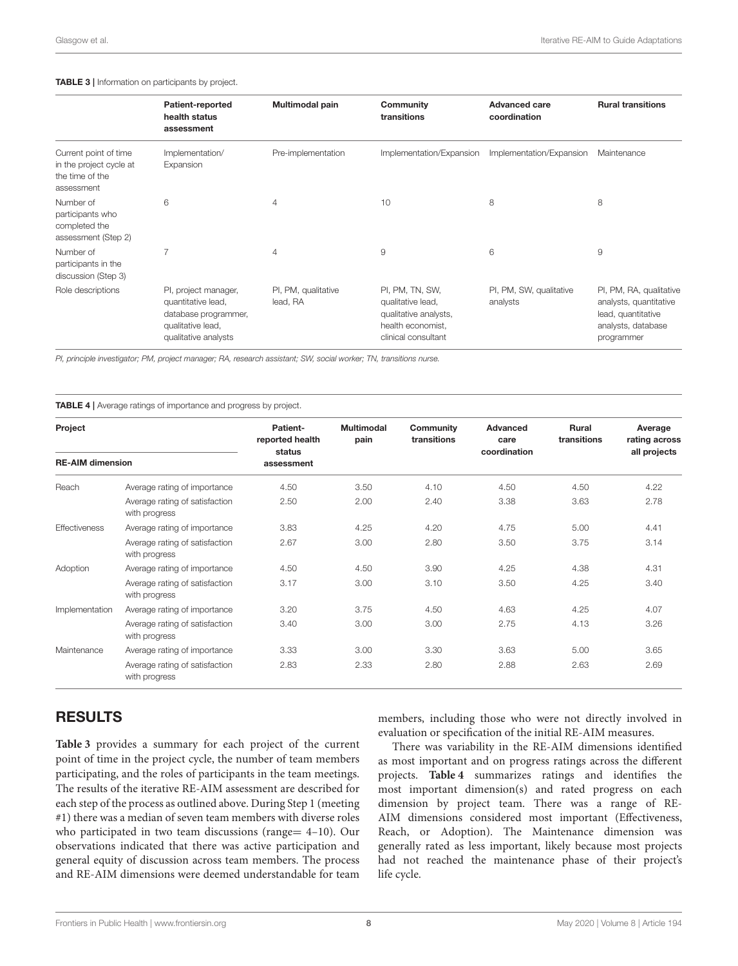#### <span id="page-7-0"></span>TABLE 3 | Information on participants by project.

|                                                                                   | Patient-reported<br>health status<br>assessment                                                                 | Multimodal pain                 | Community<br>transitions                                                                                  | <b>Advanced care</b><br>coordination | <b>Rural transitions</b>                                                                                    |
|-----------------------------------------------------------------------------------|-----------------------------------------------------------------------------------------------------------------|---------------------------------|-----------------------------------------------------------------------------------------------------------|--------------------------------------|-------------------------------------------------------------------------------------------------------------|
| Current point of time<br>in the project cycle at<br>the time of the<br>assessment | Implementation/<br>Expansion                                                                                    | Pre-implementation              | Implementation/Expansion                                                                                  | Implementation/Expansion             | Maintenance                                                                                                 |
| Number of<br>participants who<br>completed the<br>assessment (Step 2)             | 6                                                                                                               | $\overline{4}$                  | 10                                                                                                        | 8                                    | 8                                                                                                           |
| Number of<br>participants in the<br>discussion (Step 3)                           | 7                                                                                                               | $\overline{4}$                  | 9                                                                                                         | 6                                    | 9                                                                                                           |
| Role descriptions                                                                 | PI, project manager,<br>quantitative lead,<br>database programmer,<br>qualitative lead,<br>qualitative analysts | PI, PM, qualitative<br>lead, RA | PI, PM, TN, SW,<br>qualitative lead,<br>qualitative analysts,<br>health economist,<br>clinical consultant | PI, PM, SW, qualitative<br>analysts  | PI, PM, RA, qualitative<br>analysts, quantitative<br>lead, quantitative<br>analysts, database<br>programmer |

PI, principle investigator; PM, project manager; RA, research assistant; SW, social worker; TN, transitions nurse.

<span id="page-7-1"></span>TABLE 4 | Average ratings of importance and progress by project.

| Project                 |                                                 | <b>Patient-</b><br>reported health<br>status | <b>Multimodal</b><br>pain | Community<br>transitions | Advanced<br>care<br>coordination | <b>Rural</b><br>transitions | Average<br>rating across<br>all projects |
|-------------------------|-------------------------------------------------|----------------------------------------------|---------------------------|--------------------------|----------------------------------|-----------------------------|------------------------------------------|
| <b>RE-AIM dimension</b> |                                                 | assessment                                   |                           |                          |                                  |                             |                                          |
| Reach                   | Average rating of importance                    | 4.50                                         | 3.50                      | 4.10                     | 4.50                             | 4.50                        | 4.22                                     |
|                         | Average rating of satisfaction<br>with progress | 2.50                                         | 2.00                      | 2.40                     | 3.38                             | 3.63                        | 2.78                                     |
| <b>Effectiveness</b>    | Average rating of importance                    | 3.83                                         | 4.25                      | 4.20                     | 4.75                             | 5.00                        | 4.41                                     |
|                         | Average rating of satisfaction<br>with progress | 2.67                                         | 3.00                      | 2.80                     | 3.50                             | 3.75                        | 3.14                                     |
| Adoption                | Average rating of importance                    | 4.50                                         | 4.50                      | 3.90                     | 4.25                             | 4.38                        | 4.31                                     |
|                         | Average rating of satisfaction<br>with progress | 3.17                                         | 3.00                      | 3.10                     | 3.50                             | 4.25                        | 3.40                                     |
| Implementation          | Average rating of importance                    | 3.20                                         | 3.75                      | 4.50                     | 4.63                             | 4.25                        | 4.07                                     |
|                         | Average rating of satisfaction<br>with progress | 3.40                                         | 3.00                      | 3.00                     | 2.75                             | 4.13                        | 3.26                                     |
| Maintenance             | Average rating of importance                    | 3.33                                         | 3.00                      | 3.30                     | 3.63                             | 5.00                        | 3.65                                     |
|                         | Average rating of satisfaction<br>with progress | 2.83                                         | 2.33                      | 2.80                     | 2.88                             | 2.63                        | 2.69                                     |

# RESULTS

**[Table 3](#page-7-0)** provides a summary for each project of the current point of time in the project cycle, the number of team members participating, and the roles of participants in the team meetings. The results of the iterative RE-AIM assessment are described for each step of the process as outlined above. During Step 1 (meeting #1) there was a median of seven team members with diverse roles who participated in two team discussions (range= 4-10). Our observations indicated that there was active participation and general equity of discussion across team members. The process and RE-AIM dimensions were deemed understandable for team members, including those who were not directly involved in evaluation or specification of the initial RE-AIM measures.

There was variability in the RE-AIM dimensions identified as most important and on progress ratings across the different projects. **[Table 4](#page-7-1)** summarizes ratings and identifies the most important dimension(s) and rated progress on each dimension by project team. There was a range of RE-AIM dimensions considered most important (Effectiveness, Reach, or Adoption). The Maintenance dimension was generally rated as less important, likely because most projects had not reached the maintenance phase of their project's life cycle.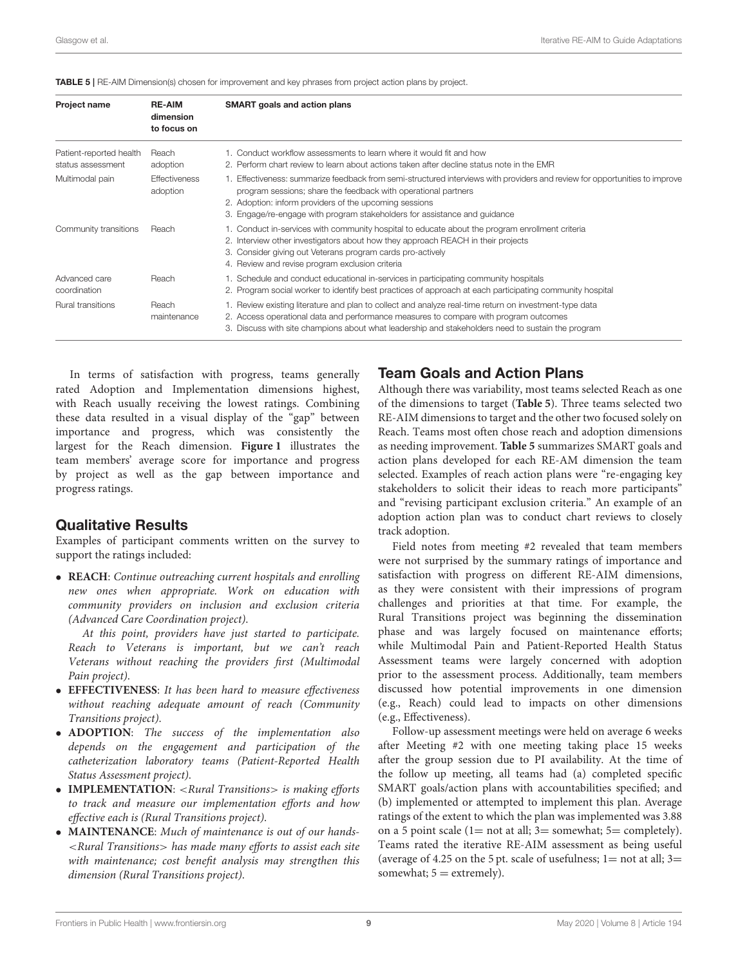<span id="page-8-0"></span>TABLE 5 | RE-AIM Dimension(s) chosen for improvement and key phrases from project action plans by project.

| <b>Project name</b>                          | <b>RE-AIM</b><br>dimension<br>to focus on | SMART goals and action plans                                                                                                                                                                                                                                                                                                         |
|----------------------------------------------|-------------------------------------------|--------------------------------------------------------------------------------------------------------------------------------------------------------------------------------------------------------------------------------------------------------------------------------------------------------------------------------------|
| Patient-reported health<br>status assessment | Reach<br>adoption                         | 1. Conduct workflow assessments to learn where it would fit and how<br>2. Perform chart review to learn about actions taken after decline status note in the EMR                                                                                                                                                                     |
| Multimodal pain                              | <b>Effectiveness</b><br>adoption          | 1. Effectiveness: summarize feedback from semi-structured interviews with providers and review for opportunities to improve<br>program sessions; share the feedback with operational partners<br>2. Adoption: inform providers of the upcoming sessions<br>3. Engage/re-engage with program stakeholders for assistance and guidance |
| Community transitions                        | Reach                                     | 1. Conduct in-services with community hospital to educate about the program enrollment criteria<br>2. Interview other investigators about how they approach REACH in their projects<br>3. Consider giving out Veterans program cards pro-actively<br>4. Review and revise program exclusion criteria                                 |
| Advanced care<br>coordination                | Reach                                     | 1. Schedule and conduct educational in-services in participating community hospitals<br>2. Program social worker to identify best practices of approach at each participating community hospital                                                                                                                                     |
| <b>Rural transitions</b>                     | Reach<br>maintenance                      | 1. Review existing literature and plan to collect and analyze real-time return on investment-type data<br>2. Access operational data and performance measures to compare with program outcomes<br>3. Discuss with site champions about what leadership and stakeholders need to sustain the program                                  |

In terms of satisfaction with progress, teams generally rated Adoption and Implementation dimensions highest, with Reach usually receiving the lowest ratings. Combining these data resulted in a visual display of the "gap" between importance and progress, which was consistently the largest for the Reach dimension. **[Figure 1](#page-6-0)** illustrates the team members' average score for importance and progress by project as well as the gap between importance and progress ratings.

#### Qualitative Results

Examples of participant comments written on the survey to support the ratings included:

• **REACH**: Continue outreaching current hospitals and enrolling new ones when appropriate. Work on education with community providers on inclusion and exclusion criteria (Advanced Care Coordination project).

At this point, providers have just started to participate. Reach to Veterans is important, but we can't reach Veterans without reaching the providers first (Multimodal Pain project).

- **EFFECTIVENESS**: It has been hard to measure effectiveness without reaching adequate amount of reach (Community Transitions project).
- **ADOPTION**: The success of the implementation also depends on the engagement and participation of the catheterization laboratory teams (Patient-Reported Health Status Assessment project).
- **IMPLEMENTATION**: <Rural Transitions> is making efforts to track and measure our implementation efforts and how effective each is (Rural Transitions project).
- **MAINTENANCE**: Much of maintenance is out of our hands- <Rural Transitions> has made many efforts to assist each site with maintenance; cost benefit analysis may strengthen this dimension (Rural Transitions project).

### Team Goals and Action Plans

Although there was variability, most teams selected Reach as one of the dimensions to target (**[Table 5](#page-8-0)**). Three teams selected two RE-AIM dimensions to target and the other two focused solely on Reach. Teams most often chose reach and adoption dimensions as needing improvement. **[Table 5](#page-8-0)** summarizes SMART goals and action plans developed for each RE-AM dimension the team selected. Examples of reach action plans were "re-engaging key stakeholders to solicit their ideas to reach more participants" and "revising participant exclusion criteria." An example of an adoption action plan was to conduct chart reviews to closely track adoption.

Field notes from meeting #2 revealed that team members were not surprised by the summary ratings of importance and satisfaction with progress on different RE-AIM dimensions, as they were consistent with their impressions of program challenges and priorities at that time. For example, the Rural Transitions project was beginning the dissemination phase and was largely focused on maintenance efforts; while Multimodal Pain and Patient-Reported Health Status Assessment teams were largely concerned with adoption prior to the assessment process. Additionally, team members discussed how potential improvements in one dimension (e.g., Reach) could lead to impacts on other dimensions (e.g., Effectiveness).

Follow-up assessment meetings were held on average 6 weeks after Meeting #2 with one meeting taking place 15 weeks after the group session due to PI availability. At the time of the follow up meeting, all teams had (a) completed specific SMART goals/action plans with accountabilities specified; and (b) implemented or attempted to implement this plan. Average ratings of the extent to which the plan was implemented was 3.88 on a 5 point scale (1= not at all;  $3=$  somewhat; 5= completely). Teams rated the iterative RE-AIM assessment as being useful (average of 4.25 on the 5 pt. scale of usefulness;  $1=$  not at all;  $3=$ somewhat;  $5 =$  extremely).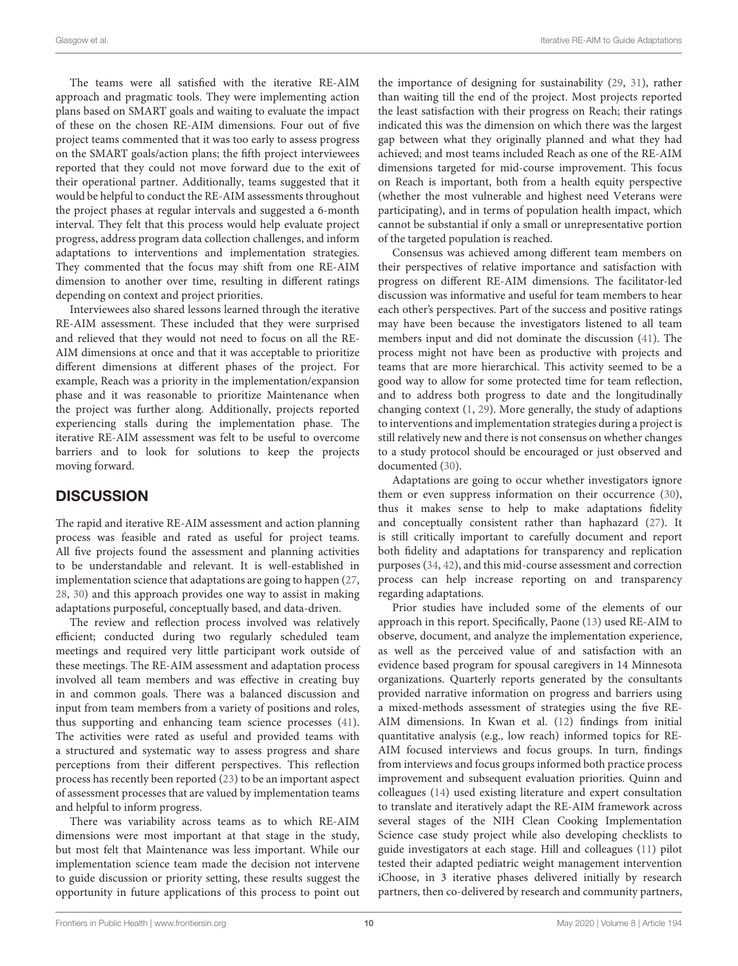The teams were all satisfied with the iterative RE-AIM approach and pragmatic tools. They were implementing action plans based on SMART goals and waiting to evaluate the impact of these on the chosen RE-AIM dimensions. Four out of five project teams commented that it was too early to assess progress on the SMART goals/action plans; the fifth project interviewees reported that they could not move forward due to the exit of their operational partner. Additionally, teams suggested that it would be helpful to conduct the RE-AIM assessments throughout the project phases at regular intervals and suggested a 6-month interval. They felt that this process would help evaluate project progress, address program data collection challenges, and inform adaptations to interventions and implementation strategies. They commented that the focus may shift from one RE-AIM dimension to another over time, resulting in different ratings depending on context and project priorities.

Interviewees also shared lessons learned through the iterative RE-AIM assessment. These included that they were surprised and relieved that they would not need to focus on all the RE-AIM dimensions at once and that it was acceptable to prioritize different dimensions at different phases of the project. For example, Reach was a priority in the implementation/expansion phase and it was reasonable to prioritize Maintenance when the project was further along. Additionally, projects reported experiencing stalls during the implementation phase. The iterative RE-AIM assessment was felt to be useful to overcome barriers and to look for solutions to keep the projects moving forward.

# **DISCUSSION**

The rapid and iterative RE-AIM assessment and action planning process was feasible and rated as useful for project teams. All five projects found the assessment and planning activities to be understandable and relevant. It is well-established in implementation science that adaptations are going to happen [\(27,](#page-11-18) [28,](#page-11-19) [30\)](#page-11-21) and this approach provides one way to assist in making adaptations purposeful, conceptually based, and data-driven.

The review and reflection process involved was relatively efficient; conducted during two regularly scheduled team meetings and required very little participant work outside of these meetings. The RE-AIM assessment and adaptation process involved all team members and was effective in creating buy in and common goals. There was a balanced discussion and input from team members from a variety of positions and roles, thus supporting and enhancing team science processes [\(41\)](#page-12-2). The activities were rated as useful and provided teams with a structured and systematic way to assess progress and share perceptions from their different perspectives. This reflection process has recently been reported [\(23\)](#page-11-14) to be an important aspect of assessment processes that are valued by implementation teams and helpful to inform progress.

There was variability across teams as to which RE-AIM dimensions were most important at that stage in the study, but most felt that Maintenance was less important. While our implementation science team made the decision not intervene to guide discussion or priority setting, these results suggest the opportunity in future applications of this process to point out the importance of designing for sustainability [\(29,](#page-11-20) [31\)](#page-11-22), rather than waiting till the end of the project. Most projects reported the least satisfaction with their progress on Reach; their ratings indicated this was the dimension on which there was the largest gap between what they originally planned and what they had achieved; and most teams included Reach as one of the RE-AIM dimensions targeted for mid-course improvement. This focus on Reach is important, both from a health equity perspective (whether the most vulnerable and highest need Veterans were participating), and in terms of population health impact, which cannot be substantial if only a small or unrepresentative portion of the targeted population is reached.

Consensus was achieved among different team members on their perspectives of relative importance and satisfaction with progress on different RE-AIM dimensions. The facilitator-led discussion was informative and useful for team members to hear each other's perspectives. Part of the success and positive ratings may have been because the investigators listened to all team members input and did not dominate the discussion [\(41\)](#page-12-2). The process might not have been as productive with projects and teams that are more hierarchical. This activity seemed to be a good way to allow for some protected time for team reflection, and to address both progress to date and the longitudinally changing context [\(1,](#page-11-0) [29\)](#page-11-20). More generally, the study of adaptions to interventions and implementation strategies during a project is still relatively new and there is not consensus on whether changes to a study protocol should be encouraged or just observed and documented [\(30\)](#page-11-21).

Adaptations are going to occur whether investigators ignore them or even suppress information on their occurrence [\(30\)](#page-11-21), thus it makes sense to help to make adaptations fidelity and conceptually consistent rather than haphazard [\(27\)](#page-11-18). It is still critically important to carefully document and report both fidelity and adaptations for transparency and replication purposes [\(34,](#page-11-25) [42\)](#page-12-3), and this mid-course assessment and correction process can help increase reporting on and transparency regarding adaptations.

Prior studies have included some of the elements of our approach in this report. Specifically, Paone [\(13\)](#page-11-30) used RE-AIM to observe, document, and analyze the implementation experience, as well as the perceived value of and satisfaction with an evidence based program for spousal caregivers in 14 Minnesota organizations. Quarterly reports generated by the consultants provided narrative information on progress and barriers using a mixed-methods assessment of strategies using the five RE-AIM dimensions. In Kwan et al. [\(12\)](#page-11-31) findings from initial quantitative analysis (e.g., low reach) informed topics for RE-AIM focused interviews and focus groups. In turn, findings from interviews and focus groups informed both practice process improvement and subsequent evaluation priorities. Quinn and colleagues [\(14\)](#page-11-8) used existing literature and expert consultation to translate and iteratively adapt the RE-AIM framework across several stages of the NIH Clean Cooking Implementation Science case study project while also developing checklists to guide investigators at each stage. Hill and colleagues [\(11\)](#page-11-32) pilot tested their adapted pediatric weight management intervention iChoose, in 3 iterative phases delivered initially by research partners, then co-delivered by research and community partners,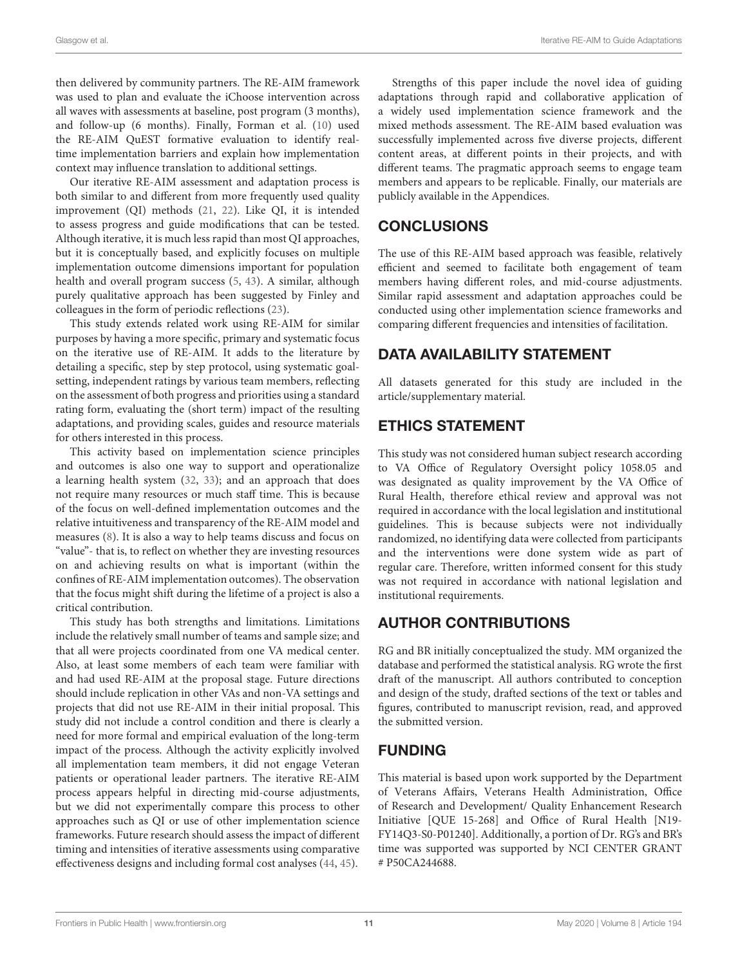then delivered by community partners. The RE-AIM framework was used to plan and evaluate the iChoose intervention across all waves with assessments at baseline, post program (3 months), and follow-up (6 months). Finally, Forman et al. [\(10\)](#page-11-7) used the RE-AIM QuEST formative evaluation to identify realtime implementation barriers and explain how implementation context may influence translation to additional settings.

Our iterative RE-AIM assessment and adaptation process is both similar to and different from more frequently used quality improvement (QI) methods [\(21,](#page-11-13) [22\)](#page-11-33). Like QI, it is intended to assess progress and guide modifications that can be tested. Although iterative, it is much less rapid than most QI approaches, but it is conceptually based, and explicitly focuses on multiple implementation outcome dimensions important for population health and overall program success [\(5,](#page-11-3) [43\)](#page-12-4). A similar, although purely qualitative approach has been suggested by Finley and colleagues in the form of periodic reflections [\(23\)](#page-11-14).

This study extends related work using RE-AIM for similar purposes by having a more specific, primary and systematic focus on the iterative use of RE-AIM. It adds to the literature by detailing a specific, step by step protocol, using systematic goalsetting, independent ratings by various team members, reflecting on the assessment of both progress and priorities using a standard rating form, evaluating the (short term) impact of the resulting adaptations, and providing scales, guides and resource materials for others interested in this process.

This activity based on implementation science principles and outcomes is also one way to support and operationalize a learning health system [\(32,](#page-11-23) [33\)](#page-11-24); and an approach that does not require many resources or much staff time. This is because of the focus on well-defined implementation outcomes and the relative intuitiveness and transparency of the RE-AIM model and measures [\(8\)](#page-11-34). It is also a way to help teams discuss and focus on "value"- that is, to reflect on whether they are investing resources on and achieving results on what is important (within the confines of RE-AIM implementation outcomes). The observation that the focus might shift during the lifetime of a project is also a critical contribution.

This study has both strengths and limitations. Limitations include the relatively small number of teams and sample size; and that all were projects coordinated from one VA medical center. Also, at least some members of each team were familiar with and had used RE-AIM at the proposal stage. Future directions should include replication in other VAs and non-VA settings and projects that did not use RE-AIM in their initial proposal. This study did not include a control condition and there is clearly a need for more formal and empirical evaluation of the long-term impact of the process. Although the activity explicitly involved all implementation team members, it did not engage Veteran patients or operational leader partners. The iterative RE-AIM process appears helpful in directing mid-course adjustments, but we did not experimentally compare this process to other approaches such as QI or use of other implementation science frameworks. Future research should assess the impact of different timing and intensities of iterative assessments using comparative effectiveness designs and including formal cost analyses [\(44,](#page-12-5) [45\)](#page-12-6).

Strengths of this paper include the novel idea of guiding adaptations through rapid and collaborative application of a widely used implementation science framework and the mixed methods assessment. The RE-AIM based evaluation was successfully implemented across five diverse projects, different content areas, at different points in their projects, and with different teams. The pragmatic approach seems to engage team members and appears to be replicable. Finally, our materials are publicly available in the Appendices.

# **CONCLUSIONS**

The use of this RE-AIM based approach was feasible, relatively efficient and seemed to facilitate both engagement of team members having different roles, and mid-course adjustments. Similar rapid assessment and adaptation approaches could be conducted using other implementation science frameworks and comparing different frequencies and intensities of facilitation.

# DATA AVAILABILITY STATEMENT

All datasets generated for this study are included in the article/supplementary material.

# ETHICS STATEMENT

This study was not considered human subject research according to VA Office of Regulatory Oversight policy 1058.05 and was designated as quality improvement by the VA Office of Rural Health, therefore ethical review and approval was not required in accordance with the local legislation and institutional guidelines. This is because subjects were not individually randomized, no identifying data were collected from participants and the interventions were done system wide as part of regular care. Therefore, written informed consent for this study was not required in accordance with national legislation and institutional requirements.

# AUTHOR CONTRIBUTIONS

RG and BR initially conceptualized the study. MM organized the database and performed the statistical analysis. RG wrote the first draft of the manuscript. All authors contributed to conception and design of the study, drafted sections of the text or tables and figures, contributed to manuscript revision, read, and approved the submitted version.

# FUNDING

This material is based upon work supported by the Department of Veterans Affairs, Veterans Health Administration, Office of Research and Development/ Quality Enhancement Research Initiative [QUE 15-268] and Office of Rural Health [N19- FY14Q3-S0-P01240]. Additionally, a portion of Dr. RG's and BR's time was supported was supported by NCI CENTER GRANT # P50CA244688.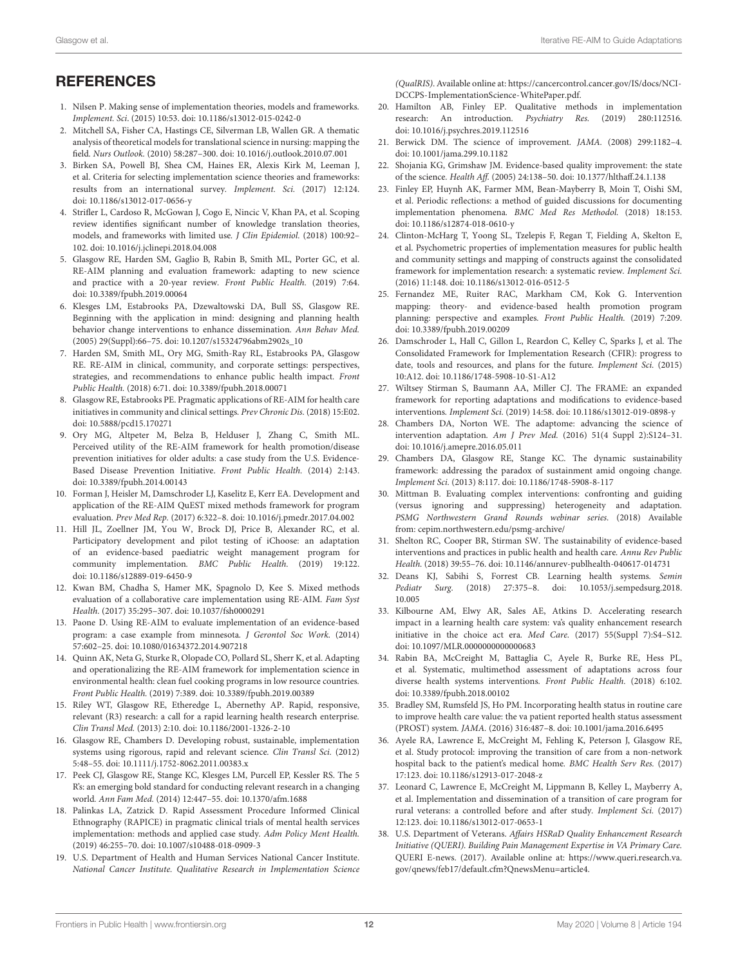# **REFERENCES**

- <span id="page-11-0"></span>1. Nilsen P. Making sense of implementation theories, models and frameworks. Implement. Sci. (2015) 10:53. doi: [10.1186/s13012-015-0242-0](https://doi.org/10.1186/s13012-015-0242-0)
- 2. Mitchell SA, Fisher CA, Hastings CE, Silverman LB, Wallen GR. A thematic analysis of theoretical models for translational science in nursing: mapping the field. Nurs Outlook. (2010) 58:287–300. doi: [10.1016/j.outlook.2010.07.001](https://doi.org/10.1016/j.outlook.2010.07.001)
- <span id="page-11-1"></span>3. Birken SA, Powell BJ, Shea CM, Haines ER, Alexis Kirk M, Leeman J, et al. Criteria for selecting implementation science theories and frameworks: results from an international survey. Implement. Sci. (2017) 12:124. doi: [10.1186/s13012-017-0656-y](https://doi.org/10.1186/s13012-017-0656-y)
- <span id="page-11-2"></span>4. Strifler L, Cardoso R, McGowan J, Cogo E, Nincic V, Khan PA, et al. Scoping review identifies significant number of knowledge translation theories, models, and frameworks with limited use. J Clin Epidemiol. (2018) 100:92– 102. doi: [10.1016/j.jclinepi.2018.04.008](https://doi.org/10.1016/j.jclinepi.2018.04.008)
- <span id="page-11-3"></span>5. Glasgow RE, Harden SM, Gaglio B, Rabin B, Smith ML, Porter GC, et al. RE-AIM planning and evaluation framework: adapting to new science and practice with a 20-year review. Front Public Health. (2019) 7:64. doi: [10.3389/fpubh.2019.00064](https://doi.org/10.3389/fpubh.2019.00064)
- <span id="page-11-4"></span>6. Klesges LM, Estabrooks PA, Dzewaltowski DA, Bull SS, Glasgow RE. Beginning with the application in mind: designing and planning health behavior change interventions to enhance dissemination. Ann Behav Med. (2005) 29(Suppl):66–75. doi: [10.1207/s15324796abm2902s\\_10](https://doi.org/10.1207/s15324796abm2902s_10)
- <span id="page-11-5"></span>7. Harden SM, Smith ML, Ory MG, Smith-Ray RL, Estabrooks PA, Glasgow RE. RE-AIM in clinical, community, and corporate settings: perspectives, strategies, and recommendations to enhance public health impact. Front Public Health. (2018) 6:71. doi: [10.3389/fpubh.2018.00071](https://doi.org/10.3389/fpubh.2018.00071)
- <span id="page-11-34"></span>8. Glasgow RE, Estabrooks PE. Pragmatic applications of RE-AIM for health care initiatives in community and clinical settings. Prev Chronic Dis. (2018) 15:E02. doi: [10.5888/pcd15.170271](https://doi.org/10.5888/pcd15.170271)
- <span id="page-11-6"></span>9. Ory MG, Altpeter M, Belza B, Helduser J, Zhang C, Smith ML. Perceived utility of the RE-AIM framework for health promotion/disease prevention initiatives for older adults: a case study from the U.S. Evidence-Based Disease Prevention Initiative. Front Public Health. (2014) 2:143. doi: [10.3389/fpubh.2014.00143](https://doi.org/10.3389/fpubh.2014.00143)
- <span id="page-11-7"></span>10. Forman J, Heisler M, Damschroder LJ, Kaselitz E, Kerr EA. Development and application of the RE-AIM QuEST mixed methods framework for program evaluation. Prev Med Rep. (2017) 6:322–8. doi: [10.1016/j.pmedr.2017.04.002](https://doi.org/10.1016/j.pmedr.2017.04.002)
- <span id="page-11-32"></span>11. Hill JL, Zoellner JM, You W, Brock DJ, Price B, Alexander RC, et al. Participatory development and pilot testing of iChoose: an adaptation of an evidence-based paediatric weight management program for community implementation. BMC Public Health. (2019) 19:122. doi: [10.1186/s12889-019-6450-9](https://doi.org/10.1186/s12889-019-6450-9)
- <span id="page-11-31"></span>12. Kwan BM, Chadha S, Hamer MK, Spagnolo D, Kee S. Mixed methods evaluation of a collaborative care implementation using RE-AIM. Fam Syst Health. (2017) 35:295–307. doi: [10.1037/fsh0000291](https://doi.org/10.1037/fsh0000291)
- <span id="page-11-30"></span>13. Paone D. Using RE-AIM to evaluate implementation of an evidence-based program: a case example from minnesota. J Gerontol Soc Work. (2014) 57:602–25. doi: [10.1080/01634372.2014.907218](https://doi.org/10.1080/01634372.2014.907218)
- <span id="page-11-8"></span>14. Quinn AK, Neta G, Sturke R, Olopade CO, Pollard SL, Sherr K, et al. Adapting and operationalizing the RE-AIM framework for implementation science in environmental health: clean fuel cooking programs in low resource countries. Front Public Health. (2019) 7:389. doi: [10.3389/fpubh.2019.00389](https://doi.org/10.3389/fpubh.2019.00389)
- <span id="page-11-9"></span>15. Riley WT, Glasgow RE, Etheredge L, Abernethy AP. Rapid, responsive, relevant (R3) research: a call for a rapid learning health research enterprise. Clin Transl Med. (2013) 2:10. doi: [10.1186/2001-1326-2-10](https://doi.org/10.1186/2001-1326-2-10)
- 16. Glasgow RE, Chambers D. Developing robust, sustainable, implementation systems using rigorous, rapid and relevant science. Clin Transl Sci. (2012) 5:48–55. doi: [10.1111/j.1752-8062.2011.00383.x](https://doi.org/10.1111/j.1752-8062.2011.00383.x)
- <span id="page-11-10"></span>17. Peek CJ, Glasgow RE, Stange KC, Klesges LM, Purcell EP, Kessler RS. The 5 R's: an emerging bold standard for conducting relevant research in a changing world. Ann Fam Med. (2014) 12:447–55. doi: [10.1370/afm.1688](https://doi.org/10.1370/afm.1688)
- <span id="page-11-11"></span>18. Palinkas LA, Zatzick D. Rapid Assessment Procedure Informed Clinical Ethnography (RAPICE) in pragmatic clinical trials of mental health services implementation: methods and applied case study. Adm Policy Ment Health. (2019) 46:255–70. doi: [10.1007/s10488-018-0909-3](https://doi.org/10.1007/s10488-018-0909-3)
- 19. U.S. Department of Health and Human Services National Cancer Institute. National Cancer Institute. Qualitative Research in Implementation Science

(QualRIS). Available online at: [https://cancercontrol.cancer.gov/IS/docs/NCI-](https://cancercontrol.cancer.gov/IS/docs/NCI-DCCPS-ImplementationScience-WhitePaper.pdf)[DCCPS-ImplementationScience-WhitePaper.pdf.](https://cancercontrol.cancer.gov/IS/docs/NCI-DCCPS-ImplementationScience-WhitePaper.pdf)

- <span id="page-11-12"></span>20. Hamilton AB, Finley EP. Qualitative methods in implementation research: An introduction. Psychiatry Res. (2019) 280:112516. doi: [10.1016/j.psychres.2019.112516](https://doi.org/10.1016/j.psychres.2019.112516)
- <span id="page-11-13"></span>21. Berwick DM. The science of improvement. JAMA. (2008) 299:1182–4. doi: [10.1001/jama.299.10.1182](https://doi.org/10.1001/jama.299.10.1182)
- <span id="page-11-33"></span>22. Shojania KG, Grimshaw JM. Evidence-based quality improvement: the state of the science. Health Aff. (2005) 24:138–50. doi: [10.1377/hlthaff.24.1.138](https://doi.org/10.1377/hlthaff.24.1.138)
- <span id="page-11-14"></span>23. Finley EP, Huynh AK, Farmer MM, Bean-Mayberry B, Moin T, Oishi SM, et al. Periodic reflections: a method of guided discussions for documenting implementation phenomena. BMC Med Res Methodol. (2018) 18:153. doi: [10.1186/s12874-018-0610-y](https://doi.org/10.1186/s12874-018-0610-y)
- <span id="page-11-15"></span>24. Clinton-McHarg T, Yoong SL, Tzelepis F, Regan T, Fielding A, Skelton E, et al. Psychometric properties of implementation measures for public health and community settings and mapping of constructs against the consolidated framework for implementation research: a systematic review. Implement Sci. (2016) 11:148. doi: [10.1186/s13012-016-0512-5](https://doi.org/10.1186/s13012-016-0512-5)
- <span id="page-11-16"></span>25. Fernandez ME, Ruiter RAC, Markham CM, Kok G. Intervention mapping: theory- and evidence-based health promotion program planning: perspective and examples. Front Public Health. (2019) 7:209. doi: [10.3389/fpubh.2019.00209](https://doi.org/10.3389/fpubh.2019.00209)
- <span id="page-11-17"></span>26. Damschroder L, Hall C, Gillon L, Reardon C, Kelley C, Sparks J, et al. The Consolidated Framework for Implementation Research (CFIR): progress to date, tools and resources, and plans for the future. Implement Sci. (2015) 10:A12. doi: [10.1186/1748-5908-10-S1-A12](https://doi.org/10.1186/1748-5908-10-S1-A12)
- <span id="page-11-18"></span>27. Wiltsey Stirman S, Baumann AA, Miller CJ. The FRAME: an expanded framework for reporting adaptations and modifications to evidence-based interventions. Implement Sci. (2019) 14:58. doi: [10.1186/s13012-019-0898-y](https://doi.org/10.1186/s13012-019-0898-y)
- <span id="page-11-19"></span>28. Chambers DA, Norton WE. The adaptome: advancing the science of intervention adaptation. Am J Prev Med. (2016) 51(4 Suppl 2):S124–31. doi: [10.1016/j.amepre.2016.05.011](https://doi.org/10.1016/j.amepre.2016.05.011)
- <span id="page-11-20"></span>29. Chambers DA, Glasgow RE, Stange KC. The dynamic sustainability framework: addressing the paradox of sustainment amid ongoing change. Implement Sci. (2013) 8:117. doi: [10.1186/1748-5908-8-117](https://doi.org/10.1186/1748-5908-8-117)
- <span id="page-11-21"></span>30. Mittman B. Evaluating complex interventions: confronting and guiding (versus ignoring and suppressing) heterogeneity and adaptation. PSMG Northwestern Grand Rounds webinar series. (2018) Available from: cepim.northwestern.edu/psmg-archive/
- <span id="page-11-22"></span>31. Shelton RC, Cooper BR, Stirman SW. The sustainability of evidence-based interventions and practices in public health and health care. Annu Rev Public Health. (2018) 39:55–76. doi: [10.1146/annurev-publhealth-040617-014731](https://doi.org/10.1146/annurev-publhealth-040617-014731)
- <span id="page-11-23"></span>32. Deans KJ, Sabihi S, Forrest CB. Learning health systems. Semin Pediatr Surg. [\(2018\) 27:375–8. doi: 10.1053/j.sempedsurg.2018.](https://doi.org/10.1053/j.sempedsurg.2018.10.005) 10.005
- <span id="page-11-24"></span>33. Kilbourne AM, Elwy AR, Sales AE, Atkins D. Accelerating research impact in a learning health care system: va's quality enhancement research initiative in the choice act era. Med Care. (2017) 55(Suppl 7):S4–S12. doi: [10.1097/MLR.0000000000000683](https://doi.org/10.1097/MLR.0000000000000683)
- <span id="page-11-25"></span>34. Rabin BA, McCreight M, Battaglia C, Ayele R, Burke RE, Hess PL, et al. Systematic, multimethod assessment of adaptations across four diverse health systems interventions. Front Public Health. (2018) 6:102. doi: [10.3389/fpubh.2018.00102](https://doi.org/10.3389/fpubh.2018.00102)
- <span id="page-11-27"></span>35. Bradley SM, Rumsfeld JS, Ho PM. Incorporating health status in routine care to improve health care value: the va patient reported health status assessment (PROST) system. JAMA. (2016) 316:487–8. doi: [10.1001/jama.2016.6495](https://doi.org/10.1001/jama.2016.6495)
- <span id="page-11-28"></span>36. Ayele RA, Lawrence E, McCreight M, Fehling K, Peterson J, Glasgow RE, et al. Study protocol: improving the transition of care from a non-network hospital back to the patient's medical home. BMC Health Serv Res. (2017) 17:123. doi: [10.1186/s12913-017-2048-z](https://doi.org/10.1186/s12913-017-2048-z)
- <span id="page-11-29"></span>37. Leonard C, Lawrence E, McCreight M, Lippmann B, Kelley L, Mayberry A, et al. Implementation and dissemination of a transition of care program for rural veterans: a controlled before and after study. Implement Sci. (2017) 12:123. doi: [10.1186/s13012-017-0653-1](https://doi.org/10.1186/s13012-017-0653-1)
- <span id="page-11-26"></span>38. U.S. Department of Veterans. Affairs HSRaD Quality Enhancement Research Initiative (QUERI). Building Pain Management Expertise in VA Primary Care. QUERI E-news. (2017). Available online at: [https://www.queri.research.va.](https://www.queri.research.va.gov/qnews/feb17/default.cfm?QnewsMenu=article4) [gov/qnews/feb17/default.cfm?QnewsMenu=article4.](https://www.queri.research.va.gov/qnews/feb17/default.cfm?QnewsMenu=article4)